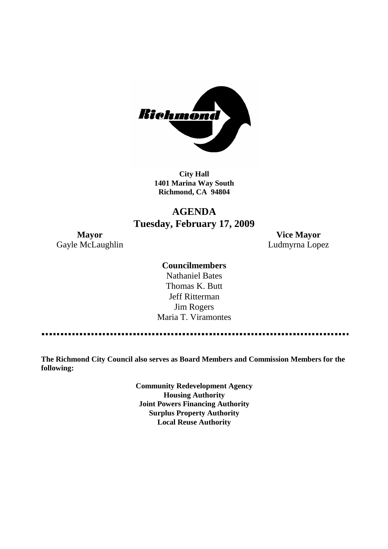

**City Hall 1401 Marina Way South Richmond, CA 94804**

# **AGENDA Tuesday, February 17, 2009**

Gayle McLaughlin **Ludmyrna Lopez** 

**Mayor Vice Mayor**

### **Councilmembers**

Nathaniel Bates Thomas K. Butt Jeff Ritterman Jim Rogers Maria T. Viramontes

**The Richmond City Council also serves as Board Members and Commission Members for the following:**

> **Community Redevelopment Agency Housing Authority Joint Powers Financing Authority Surplus Property Authority Local Reuse Authority**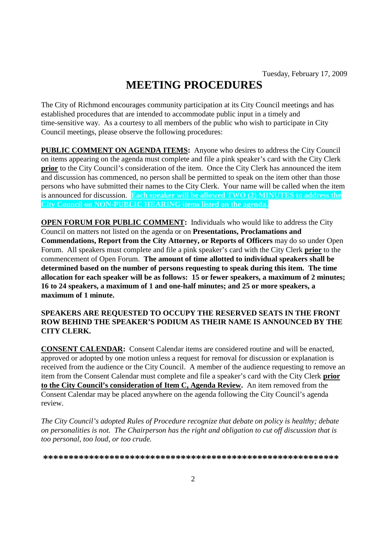# **MEETING PROCEDURES**

The City of Richmond encourages community participation at its City Council meetings and has established procedures that are intended to accommodate public input in a timely and time-sensitive way. As a courtesy to all members of the public who wish to participate in City Council meetings, please observe the following procedures:

**PUBLIC COMMENT ON AGENDA ITEMS:** Anyone who desires to address the City Council on items appearing on the agenda must complete and file a pink speaker's card with the City Clerk **prior** to the City Council's consideration of the item. Once the City Clerk has announced the item and discussion has commenced, no person shall be permitted to speak on the item other than those persons who have submitted their names to the City Clerk. Your name will be called when the item is announced for discussion. **Each speaker will be allowed TWO (2) MINUTES to address the City Council on NON-PUBLIC HEARING items listed on the agenda.**

**OPEN FORUM FOR PUBLIC COMMENT:** Individuals who would like to address the City Council on matters not listed on the agenda or on **Presentations, Proclamations and Commendations, Report from the City Attorney, or Reports of Officers** may do so under Open Forum. All speakers must complete and file a pink speaker's card with the City Clerk **prior** to the commencement of Open Forum. **The amount of time allotted to individual speakers shall be determined based on the number of persons requesting to speak during this item. The time allocation for each speaker will be as follows: 15 or fewer speakers, a maximum of 2 minutes; 16 to 24 speakers, a maximum of 1 and one-half minutes; and 25 or more speakers, a maximum of 1 minute.**

### **SPEAKERS ARE REQUESTED TO OCCUPY THE RESERVED SEATS IN THE FRONT ROW BEHIND THE SPEAKER'S PODIUM AS THEIR NAME IS ANNOUNCED BY THE CITY CLERK.**

**CONSENT CALENDAR:** Consent Calendar items are considered routine and will be enacted, approved or adopted by one motion unless a request for removal for discussion or explanation is received from the audience or the City Council. A member of the audience requesting to remove an item from the Consent Calendar must complete and file a speaker's card with the City Clerk **prior to the City Council's consideration of Item C, Agenda Review.** An item removed from the Consent Calendar may be placed anywhere on the agenda following the City Council's agenda review.

*The City Council's adopted Rules of Procedure recognize that debate on policy is healthy; debate on personalities is not. The Chairperson has the right and obligation to cut off discussion that is too personal, too loud, or too crude.*

**\*\*\*\*\*\*\*\*\*\*\*\*\*\*\*\*\*\*\*\*\*\*\*\*\*\*\*\*\*\*\*\*\*\*\*\*\*\*\*\*\*\*\*\*\*\*\*\*\*\*\*\*\*\*\*\*\*\***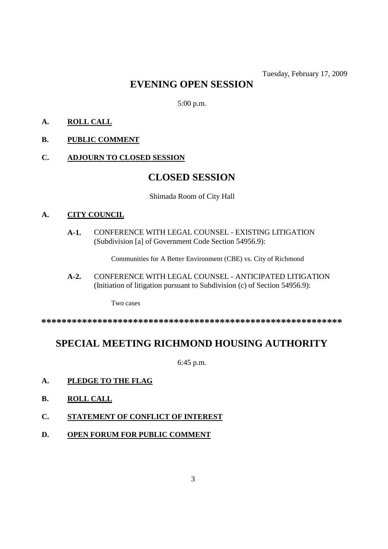# **EVENING OPEN SESSION**

5:00 p.m.

- **A. ROLL CALL**
- **B. PUBLIC COMMENT**
- **C. ADJOURN TO CLOSED SESSION**

# **CLOSED SESSION**

Shimada Room of City Hall

#### **A. CITY COUNCIL**

**A-1.** CONFERENCE WITH LEGAL COUNSEL - EXISTING LITIGATION (Subdivision [a] of Government Code Section 54956.9):

Communities for A Better Environment (CBE) vs. City of Richmond

**A-2.** CONFERENCE WITH LEGAL COUNSEL - ANTICIPATED LITIGATION (Initiation of litigation pursuant to Subdivision (c) of Section 54956.9):

Two cases

**\*\*\*\*\*\*\*\*\*\*\*\*\*\*\*\*\*\*\*\*\*\*\*\*\*\*\*\*\*\*\*\*\*\*\*\*\*\*\*\*\*\*\*\*\*\*\*\*\*\*\*\*\*\*\*\*\*\*\***

# **SPECIAL MEETING RICHMOND HOUSING AUTHORITY**

6:45 p.m.

- **A. PLEDGE TO THE FLAG**
- **B. ROLL CALL**
- **C. STATEMENT OF CONFLICT OF INTEREST**
- **D. OPEN FORUM FOR PUBLIC COMMENT**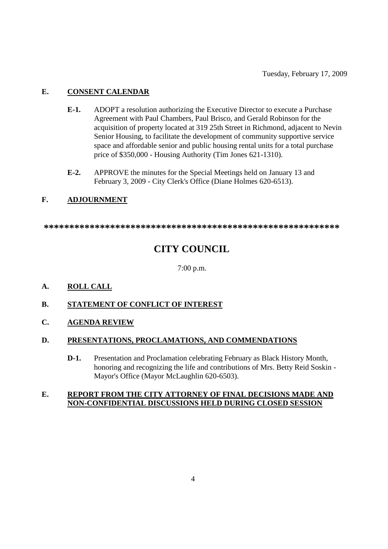## **E. CONSENT CALENDAR**

- **E-1.** ADOPT a resolution authorizing the Executive Director to execute a Purchase Agreement with Paul Chambers, Paul Brisco, and Gerald Robinson for the acquisition of property located at 319 25th Street in Richmond, adjacent to Nevin Senior Housing, to facilitate the development of community supportive service space and affordable senior and public housing rental units for a total purchase price of \$350,000 - Housing Authority (Tim Jones 621-1310).
- **E-2.** APPROVE the minutes for the Special Meetings held on January 13 and February 3, 2009 - City Clerk's Office (Diane Holmes 620-6513).

## **F. ADJOURNMENT**

**\*\*\*\*\*\*\*\*\*\*\*\*\*\*\*\*\*\*\*\*\*\*\*\*\*\*\*\*\*\*\*\*\*\*\*\*\*\*\*\*\*\*\*\*\*\*\*\*\*\*\*\*\*\*\*\*\*\***

# **CITY COUNCIL**

7:00 p.m.

**A. ROLL CALL**

## **B. STATEMENT OF CONFLICT OF INTEREST**

**C. AGENDA REVIEW**

### **D. PRESENTATIONS, PROCLAMATIONS, AND COMMENDATIONS**

**D-1.** Presentation and Proclamation celebrating February as Black History Month, honoring and recognizing the life and contributions of Mrs. Betty Reid Soskin - Mayor's Office (Mayor McLaughlin 620-6503).

### **E. REPORT FROM THE CITY ATTORNEY OF FINAL DECISIONS MADE AND NON-CONFIDENTIAL DISCUSSIONS HELD DURING CLOSED SESSION**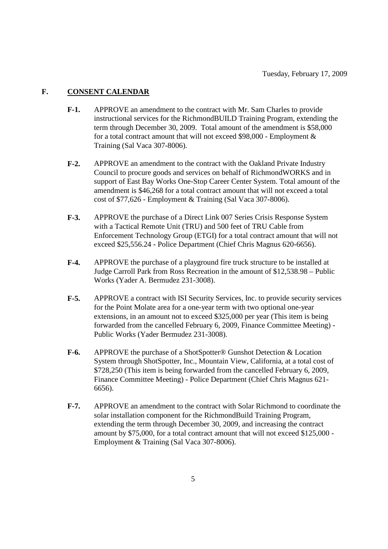### **F. CONSENT CALENDAR**

- **F-1.** APPROVE an amendment to the contract with Mr. Sam Charles to provide instructional services for the RichmondBUILD Training Program, extending the term through December 30, 2009. Total amount of the amendment is \$58,000 for a total contract amount that will not exceed \$98,000 - Employment & Training (Sal Vaca 307-8006).
- **F-2.** APPROVE an amendment to the contract with the Oakland Private Industry Council to procure goods and services on behalf of RichmondWORKS and in support of East Bay Works One-Stop Career Center System. Total amount of the amendment is \$46,268 for a total contract amount that will not exceed a total cost of \$77,626 - Employment & Training (Sal Vaca 307-8006).
- **F-3.** APPROVE the purchase of a Direct Link 007 Series Crisis Response System with a Tactical Remote Unit (TRU) and 500 feet of TRU Cable from Enforcement Technology Group (ETGI) for a total contract amount that will not exceed \$25,556.24 - Police Department (Chief Chris Magnus 620-6656).
- **F-4.** APPROVE the purchase of a playground fire truck structure to be installed at Judge Carroll Park from Ross Recreation in the amount of \$12,538.98 – Public Works (Yader A. Bermudez 231-3008).
- **F-5.** APPROVE a contract with ISI Security Services, Inc. to provide security services for the Point Molate area for a one-year term with two optional one-year extensions, in an amount not to exceed \$325,000 per year (This item is being forwarded from the cancelled February 6, 2009, Finance Committee Meeting) - Public Works (Yader Bermudez 231-3008).
- **F-6.** APPROVE the purchase of a ShotSpotter® Gunshot Detection & Location System through ShotSpotter, Inc., Mountain View, California, at a total cost of \$728,250 (This item is being forwarded from the cancelled February 6, 2009, Finance Committee Meeting) - Police Department (Chief Chris Magnus 621- 6656).
- **F-7.** APPROVE an amendment to the contract with Solar Richmond to coordinate the solar installation component for the RichmondBuild Training Program, extending the term through December 30, 2009, and increasing the contract amount by \$75,000, for a total contract amount that will not exceed \$125,000 - Employment & Training (Sal Vaca 307-8006).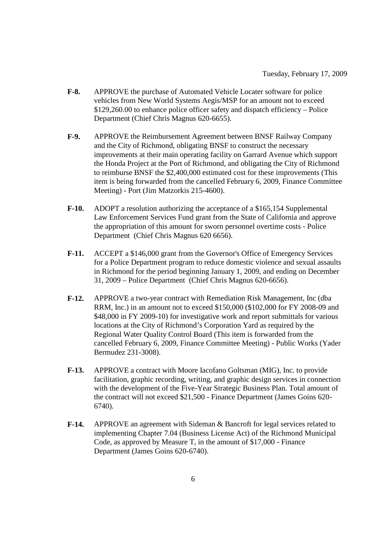- **F-8.** APPROVE the purchase of Automated Vehicle Locater software for police vehicles from New World Systems Aegis/MSP for an amount not to exceed \$129,260.00 to enhance police officer safety and dispatch efficiency – Police Department (Chief Chris Magnus 620-6655).
- **F-9.** APPROVE the Reimbursement Agreement between BNSF Railway Company and the City of Richmond, obligating BNSF to construct the necessary improvements at their main operating facility on Garrard Avenue which support the Honda Project at the Port of Richmond, and obligating the City of Richmond to reimburse BNSF the \$2,400,000 estimated cost for these improvements (This item is being forwarded from the cancelled February 6, 2009, Finance Committee Meeting) - Port (Jim Matzorkis 215-4600).
- **F-10.** ADOPT a resolution authorizing the acceptance of a \$165,154 Supplemental Law Enforcement Services Fund grant from the State of California and approve the appropriation of this amount for sworn personnel overtime costs - Police Department (Chief Chris Magnus 620 6656).
- **F-11.** ACCEPT a \$146,000 grant from the Governor's Office of Emergency Services for a Police Department program to reduce domestic violence and sexual assaults in Richmond for the period beginning January 1, 2009, and ending on December 31, 2009 – Police Department (Chief Chris Magnus 620-6656).
- **F-12.** APPROVE a two-year contract with Remediation Risk Management, Inc (dba RRM, Inc.) in an amount not to exceed \$150,000 (\$102,000 for FY 2008-09 and \$48,000 in FY 2009-10) for investigative work and report submittals for various locations at the City of Richmond's Corporation Yard as required by the Regional Water Quality Control Board (This item is forwarded from the cancelled February 6, 2009, Finance Committee Meeting) - Public Works (Yader Bermudez 231-3008).
- **F-13.** APPROVE a contract with Moore Iacofano Goltsman (MIG), Inc. to provide facilitation, graphic recording, writing, and graphic design services in connection with the development of the Five-Year Strategic Business Plan. Total amount of the contract will not exceed \$21,500 - Finance Department (James Goins 620- 6740).
- **F-14.** APPROVE an agreement with Sideman & Bancroft for legal services related to implementing Chapter 7.04 (Business License Act) of the Richmond Municipal Code, as approved by Measure T, in the amount of \$17,000 - Finance Department (James Goins 620-6740).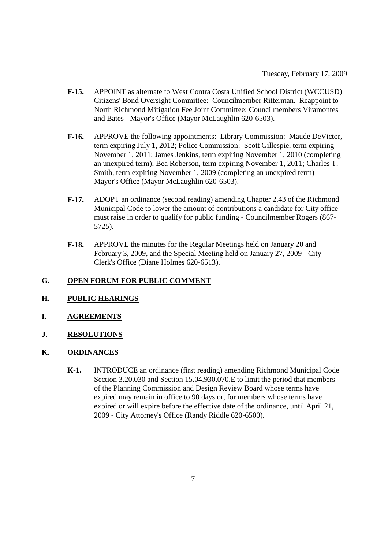- **F-15.** APPOINT as alternate to West Contra Costa Unified School District (WCCUSD) Citizens' Bond Oversight Committee: Councilmember Ritterman. Reappoint to North Richmond Mitigation Fee Joint Committee: Councilmembers Viramontes and Bates - Mayor's Office (Mayor McLaughlin 620-6503).
- **F-16.** APPROVE the following appointments: Library Commission: Maude DeVictor, term expiring July 1, 2012; Police Commission: Scott Gillespie, term expiring November 1, 2011; James Jenkins, term expiring November 1, 2010 (completing an unexpired term); Bea Roberson, term expiring November 1, 2011; Charles T. Smith, term expiring November 1, 2009 (completing an unexpired term) - Mayor's Office (Mayor McLaughlin 620-6503).
- **F-17.** ADOPT an ordinance (second reading) amending Chapter 2.43 of the Richmond Municipal Code to lower the amount of contributions a candidate for City office must raise in order to qualify for public funding - Councilmember Rogers (867- 5725).
- **F-18.** APPROVE the minutes for the Regular Meetings held on January 20 and February 3, 2009, and the Special Meeting held on January 27, 2009 - City Clerk's Office (Diane Holmes 620-6513).

## **G. OPEN FORUM FOR PUBLIC COMMENT**

- **H. PUBLIC HEARINGS**
- **I. AGREEMENTS**
- **J. RESOLUTIONS**
- **K. ORDINANCES**
	- **K-1.** INTRODUCE an ordinance (first reading) amending Richmond Municipal Code Section 3.20.030 and Section 15.04.930.070.E to limit the period that members of the Planning Commission and Design Review Board whose terms have expired may remain in office to 90 days or, for members whose terms have expired or will expire before the effective date of the ordinance, until April 21, 2009 - City Attorney's Office (Randy Riddle 620-6500).